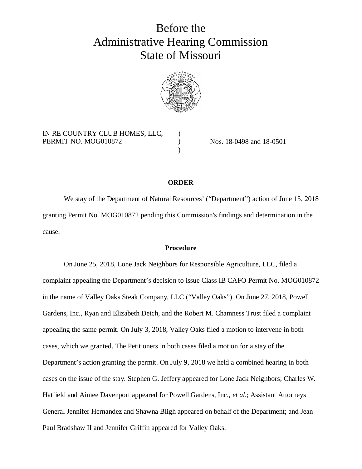# Before the Administrative Hearing Commission State of Missouri



) ) )

# IN RE COUNTRY CLUB HOMES, LLC, PERMIT NO. MOG010872

Nos. 18-0498 and 18-0501

## **ORDER**

We stay of the Department of Natural Resources' ("Department") action of June 15, 2018 granting Permit No. MOG010872 pending this Commission's findings and determination in the cause.

# **Procedure**

On June 25, 2018, Lone Jack Neighbors for Responsible Agriculture, LLC, filed a complaint appealing the Department's decision to issue Class IB CAFO Permit No. MOG010872 in the name of Valley Oaks Steak Company, LLC ("Valley Oaks"). On June 27, 2018, Powell Gardens, Inc., Ryan and Elizabeth Deich, and the Robert M. Chamness Trust filed a complaint appealing the same permit. On July 3, 2018, Valley Oaks filed a motion to intervene in both cases, which we granted. The Petitioners in both cases filed a motion for a stay of the Department's action granting the permit. On July 9, 2018 we held a combined hearing in both cases on the issue of the stay. Stephen G. Jeffery appeared for Lone Jack Neighbors; Charles W. Hatfield and Aimee Davenport appeared for Powell Gardens, Inc., *et al*.; Assistant Attorneys General Jennifer Hernandez and Shawna Bligh appeared on behalf of the Department; and Jean Paul Bradshaw II and Jennifer Griffin appeared for Valley Oaks.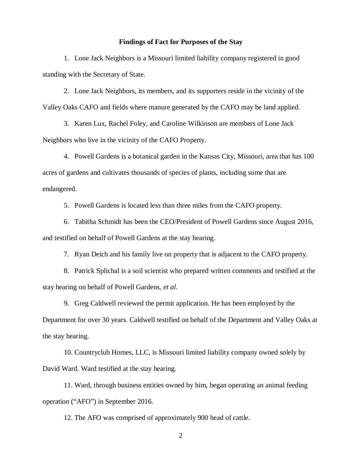#### **Findings of Fact for Purposes of the Stay**

1. Lone Jack Neighbors is a Missouri limited liability company registered in good standing with the Secretary of State.

2. Lone Jack Neighbors, its members, and its supporters reside in the vicinity of the Valley Oaks CAFO and fields where manure generated by the CAFO may be land applied.

3. Karen Lux, Rachel Foley, and Caroline Wilkinson are members of Lone Jack Neighbors who live in the vicinity of the CAFO Property.

4. Powell Gardens is a botanical garden in the Kansas City, Missouri, area that has 100 acres of gardens and cultivates thousands of species of plants, including some that are endangered.

5. Powell Gardens is located less than three miles from the CAFO property.

6. Tabitha Schmidt has been the CEO/President of Powell Gardens since August 2016, and testified on behalf of Powell Gardens at the stay hearing.

7. Ryan Deich and his family live on property that is adjacent to the CAFO property.

8. Patrick Splichal is a soil scientist who prepared written comments and testified at the stay hearing on behalf of Powell Gardens, *et al*.

9. Greg Caldwell reviewed the permit application. He has been employed by the Department for over 30 years. Caldwell testified on behalf of the Department and Valley Oaks at the stay hearing.

10. Countryclub Homes, LLC, is Missouri limited liability company owned solely by David Ward. Ward testified at the stay hearing.

11. Ward, through business entities owned by him, began operating an animal feeding operation ("AFO") in September 2016.

12. The AFO was comprised of approximately 900 head of cattle.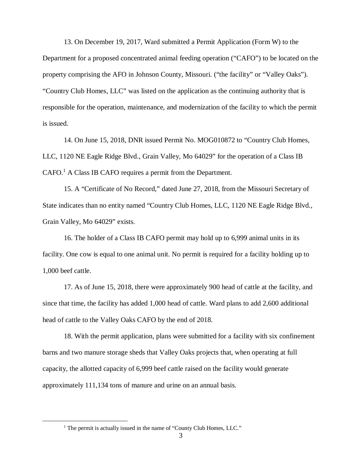13. On December 19, 2017, Ward submitted a Permit Application (Form W) to the Department for a proposed concentrated animal feeding operation ("CAFO") to be located on the property comprising the AFO in Johnson County, Missouri. ("the facility" or "Valley Oaks"). "Country Club Homes, LLC" was listed on the application as the continuing authority that is responsible for the operation, maintenance, and modernization of the facility to which the permit is issued.

14. On June 15, 2018, DNR issued Permit No. MOG010872 to "Country Club Homes, LLC, 1120 NE Eagle Ridge Blvd., Grain Valley, Mo 64029" for the operation of a Class IB CAFO.<sup>1</sup> A Class IB CAFO requires a permit from the Department.

15. A "Certificate of No Record," dated June 27, 2018, from the Missouri Secretary of State indicates than no entity named "Country Club Homes, LLC, 1120 NE Eagle Ridge Blvd., Grain Valley, Mo 64029" exists.

16. The holder of a Class IB CAFO permit may hold up to 6,999 animal units in its facility. One cow is equal to one animal unit. No permit is required for a facility holding up to 1,000 beef cattle.

17. As of June 15, 2018, there were approximately 900 head of cattle at the facility, and since that time, the facility has added 1,000 head of cattle. Ward plans to add 2,600 additional head of cattle to the Valley Oaks CAFO by the end of 2018.

18. With the permit application, plans were submitted for a facility with six confinement barns and two manure storage sheds that Valley Oaks projects that, when operating at full capacity, the allotted capacity of 6,999 beef cattle raised on the facility would generate approximately 111,134 tons of manure and urine on an annual basis.

<sup>&</sup>lt;sup>1</sup> The permit is actually issued in the name of "County Club Homes, LLC."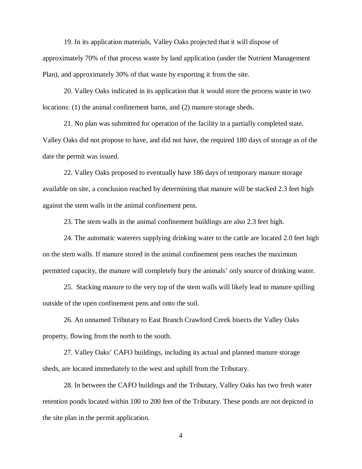19. In its application materials, Valley Oaks projected that it will dispose of approximately 70% of that process waste by land application (under the Nutrient Management Plan), and approximately 30% of that waste by exporting it from the site.

20. Valley Oaks indicated in its application that it would store the process waste in two locations: (1) the animal confinement barns, and (2) manure storage sheds.

21. No plan was submitted for operation of the facility in a partially completed state. Valley Oaks did not propose to have, and did not have, the required 180 days of storage as of the date the permit was issued.

22. Valley Oaks proposed to eventually have 186 days of temporary manure storage available on site, a conclusion reached by determining that manure will be stacked 2.3 feet high against the stem walls in the animal confinement pens.

23. The stem walls in the animal confinement buildings are also 2.3 feet high.

24. The automatic waterers supplying drinking water to the cattle are located 2.0 feet high on the stem walls. If manure stored in the animal confinement pens reaches the maximum permitted capacity, the manure will completely bury the animals' only source of drinking water.

25. Stacking manure to the very top of the stem walls will likely lead to manure spilling outside of the open confinement pens and onto the soil.

26. An unnamed Tributary to East Branch Crawford Creek bisects the Valley Oaks property, flowing from the north to the south.

27. Valley Oaks' CAFO buildings, including its actual and planned manure storage sheds, are located immediately to the west and uphill from the Tributary.

28. In between the CAFO buildings and the Tributary, Valley Oaks has two fresh water retention ponds located within 100 to 200 feet of the Tributary. These ponds are not depicted in the site plan in the permit application.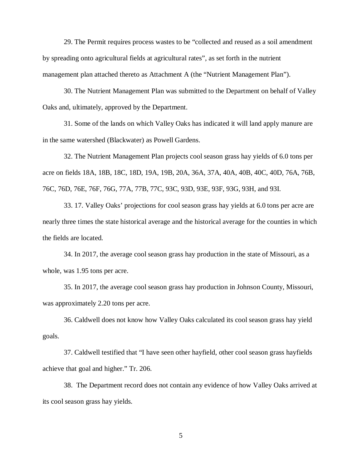29. The Permit requires process wastes to be "collected and reused as a soil amendment by spreading onto agricultural fields at agricultural rates", as set forth in the nutrient management plan attached thereto as Attachment A (the "Nutrient Management Plan").

30. The Nutrient Management Plan was submitted to the Department on behalf of Valley Oaks and, ultimately, approved by the Department.

31. Some of the lands on which Valley Oaks has indicated it will land apply manure are in the same watershed (Blackwater) as Powell Gardens.

32. The Nutrient Management Plan projects cool season grass hay yields of 6.0 tons per acre on fields 18A, 18B, 18C, 18D, 19A, 19B, 20A, 36A, 37A, 40A, 40B, 40C, 40D, 76A, 76B, 76C, 76D, 76E, 76F, 76G, 77A, 77B, 77C, 93C, 93D, 93E, 93F, 93G, 93H, and 93I.

33. 17. Valley Oaks' projections for cool season grass hay yields at 6.0 tons per acre are nearly three times the state historical average and the historical average for the counties in which the fields are located.

34. In 2017, the average cool season grass hay production in the state of Missouri, as a whole, was 1.95 tons per acre.

35. In 2017, the average cool season grass hay production in Johnson County, Missouri, was approximately 2.20 tons per acre.

36. Caldwell does not know how Valley Oaks calculated its cool season grass hay yield goals.

37. Caldwell testified that "I have seen other hayfield, other cool season grass hayfields achieve that goal and higher." Tr. 206.

38. The Department record does not contain any evidence of how Valley Oaks arrived at its cool season grass hay yields.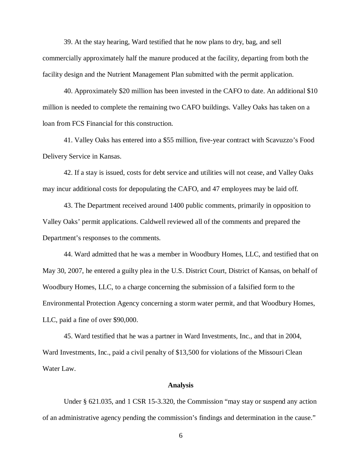39. At the stay hearing, Ward testified that he now plans to dry, bag, and sell commercially approximately half the manure produced at the facility, departing from both the facility design and the Nutrient Management Plan submitted with the permit application.

40. Approximately \$20 million has been invested in the CAFO to date. An additional \$10 million is needed to complete the remaining two CAFO buildings. Valley Oaks has taken on a loan from FCS Financial for this construction.

41. Valley Oaks has entered into a \$55 million, five-year contract with Scavuzzo's Food Delivery Service in Kansas.

42. If a stay is issued, costs for debt service and utilities will not cease, and Valley Oaks may incur additional costs for depopulating the CAFO, and 47 employees may be laid off.

43. The Department received around 1400 public comments, primarily in opposition to Valley Oaks' permit applications. Caldwell reviewed all of the comments and prepared the Department's responses to the comments.

44. Ward admitted that he was a member in Woodbury Homes, LLC, and testified that on May 30, 2007, he entered a guilty plea in the U.S. District Court, District of Kansas, on behalf of Woodbury Homes, LLC, to a charge concerning the submission of a falsified form to the Environmental Protection Agency concerning a storm water permit, and that Woodbury Homes, LLC, paid a fine of over \$90,000.

45. Ward testified that he was a partner in Ward Investments, Inc., and that in 2004, Ward Investments, Inc., paid a civil penalty of \$13,500 for violations of the Missouri Clean Water Law.

#### **Analysis**

Under § 621.035, and 1 CSR 15-3.320, the Commission "may stay or suspend any action of an administrative agency pending the commission's findings and determination in the cause."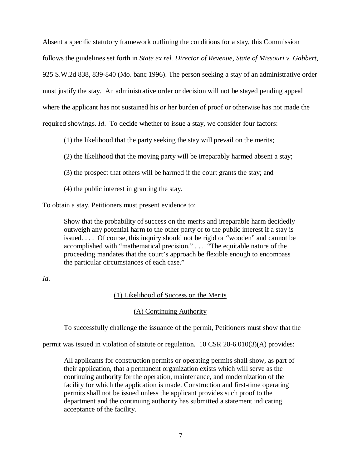Absent a specific statutory framework outlining the conditions for a stay, this Commission follows the guidelines set forth in *State ex rel. Director of Revenue, State of Missouri v. Gabbert*, 925 S.W.2d 838, 839-840 (Mo. banc 1996). The person seeking a stay of an administrative order must justify the stay. An administrative order or decision will not be stayed pending appeal where the applicant has not sustained his or her burden of proof or otherwise has not made the required showings. *Id*. To decide whether to issue a stay, we consider four factors:

(1) the likelihood that the party seeking the stay will prevail on the merits;

(2) the likelihood that the moving party will be irreparably harmed absent a stay;

- (3) the prospect that others will be harmed if the court grants the stay; and
- (4) the public interest in granting the stay.

To obtain a stay, Petitioners must present evidence to:

Show that the probability of success on the merits and irreparable harm decidedly outweigh any potential harm to the other party or to the public interest if a stay is issued. . . . Of course, this inquiry should not be rigid or "wooden" and cannot be accomplished with "mathematical precision." . . . "The equitable nature of the proceeding mandates that the court's approach be flexible enough to encompass the particular circumstances of each case."

# *Id.*

# (1) Likelihood of Success on the Merits

# (A) Continuing Authority

To successfully challenge the issuance of the permit, Petitioners must show that the

permit was issued in violation of statute or regulation. 10 CSR 20-6.010(3)(A) provides:

All applicants for construction permits or operating permits shall show, as part of their application, that a permanent organization exists which will serve as the continuing authority for the operation, maintenance, and modernization of the facility for which the application is made. Construction and first-time operating permits shall not be issued unless the applicant provides such proof to the department and the continuing authority has submitted a statement indicating acceptance of the facility.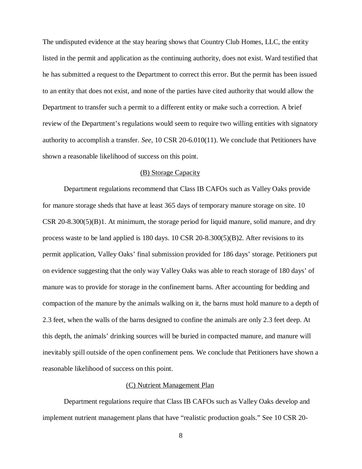The undisputed evidence at the stay hearing shows that Country Club Homes, LLC, the entity listed in the permit and application as the continuing authority, does not exist. Ward testified that he has submitted a request to the Department to correct this error. But the permit has been issued to an entity that does not exist, and none of the parties have cited authority that would allow the Department to transfer such a permit to a different entity or make such a correction. A brief review of the Department's regulations would seem to require two willing entities with signatory authority to accomplish a transfer. *See*, 10 CSR 20-6.010(11). We conclude that Petitioners have shown a reasonable likelihood of success on this point.

### (B) Storage Capacity

Department regulations recommend that Class IB CAFOs such as Valley Oaks provide for manure storage sheds that have at least 365 days of temporary manure storage on site. 10  $CSR$  20-8.300(5)(B)1. At minimum, the storage period for liquid manure, solid manure, and dry process waste to be land applied is 180 days. 10 CSR 20-8.300(5)(B)2. After revisions to its permit application, Valley Oaks' final submission provided for 186 days' storage. Petitioners put on evidence suggesting that the only way Valley Oaks was able to reach storage of 180 days' of manure was to provide for storage in the confinement barns. After accounting for bedding and compaction of the manure by the animals walking on it, the barns must hold manure to a depth of 2.3 feet, when the walls of the barns designed to confine the animals are only 2.3 feet deep. At this depth, the animals' drinking sources will be buried in compacted manure, and manure will inevitably spill outside of the open confinement pens. We conclude that Petitioners have shown a reasonable likelihood of success on this point.

#### (C) Nutrient Management Plan

Department regulations require that Class IB CAFOs such as Valley Oaks develop and implement nutrient management plans that have "realistic production goals." See 10 CSR 20-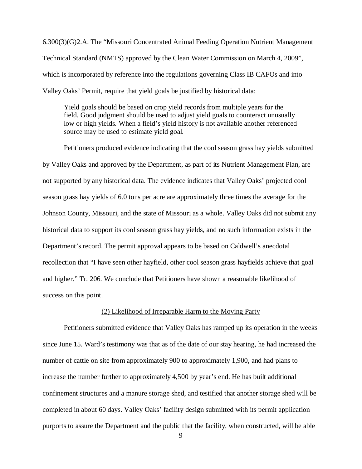6.300(3)(G)2.A. The "Missouri Concentrated Animal Feeding Operation Nutrient Management Technical Standard (NMTS) approved by the Clean Water Commission on March 4, 2009", which is incorporated by reference into the regulations governing Class IB CAFOs and into Valley Oaks' Permit, require that yield goals be justified by historical data:

Yield goals should be based on crop yield records from multiple years for the field. Good judgment should be used to adjust yield goals to counteract unusually low or high yields. When a field's yield history is not available another referenced source may be used to estimate yield goal.

Petitioners produced evidence indicating that the cool season grass hay yields submitted by Valley Oaks and approved by the Department, as part of its Nutrient Management Plan, are not supported by any historical data. The evidence indicates that Valley Oaks' projected cool season grass hay yields of 6.0 tons per acre are approximately three times the average for the Johnson County, Missouri, and the state of Missouri as a whole. Valley Oaks did not submit any historical data to support its cool season grass hay yields, and no such information exists in the Department's record. The permit approval appears to be based on Caldwell's anecdotal recollection that "I have seen other hayfield, other cool season grass hayfields achieve that goal and higher." Tr. 206. We conclude that Petitioners have shown a reasonable likelihood of success on this point.

#### (2) Likelihood of Irreparable Harm to the Moving Party

Petitioners submitted evidence that Valley Oaks has ramped up its operation in the weeks since June 15. Ward's testimony was that as of the date of our stay hearing, he had increased the number of cattle on site from approximately 900 to approximately 1,900, and had plans to increase the number further to approximately 4,500 by year's end. He has built additional confinement structures and a manure storage shed, and testified that another storage shed will be completed in about 60 days. Valley Oaks' facility design submitted with its permit application purports to assure the Department and the public that the facility, when constructed, will be able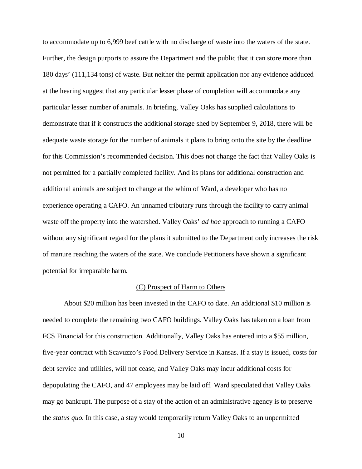to accommodate up to 6,999 beef cattle with no discharge of waste into the waters of the state. Further, the design purports to assure the Department and the public that it can store more than 180 days' (111,134 tons) of waste. But neither the permit application nor any evidence adduced at the hearing suggest that any particular lesser phase of completion will accommodate any particular lesser number of animals. In briefing, Valley Oaks has supplied calculations to demonstrate that if it constructs the additional storage shed by September 9, 2018, there will be adequate waste storage for the number of animals it plans to bring onto the site by the deadline for this Commission's recommended decision. This does not change the fact that Valley Oaks is not permitted for a partially completed facility. And its plans for additional construction and additional animals are subject to change at the whim of Ward, a developer who has no experience operating a CAFO. An unnamed tributary runs through the facility to carry animal waste off the property into the watershed. Valley Oaks' *ad hoc* approach to running a CAFO without any significant regard for the plans it submitted to the Department only increases the risk of manure reaching the waters of the state. We conclude Petitioners have shown a significant potential for irreparable harm.

# (C) Prospect of Harm to Others

About \$20 million has been invested in the CAFO to date. An additional \$10 million is needed to complete the remaining two CAFO buildings. Valley Oaks has taken on a loan from FCS Financial for this construction. Additionally, Valley Oaks has entered into a \$55 million, five-year contract with Scavuzzo's Food Delivery Service in Kansas. If a stay is issued, costs for debt service and utilities, will not cease, and Valley Oaks may incur additional costs for depopulating the CAFO, and 47 employees may be laid off. Ward speculated that Valley Oaks may go bankrupt. The purpose of a stay of the action of an administrative agency is to preserve the *status quo*. In this case, a stay would temporarily return Valley Oaks to an unpermitted